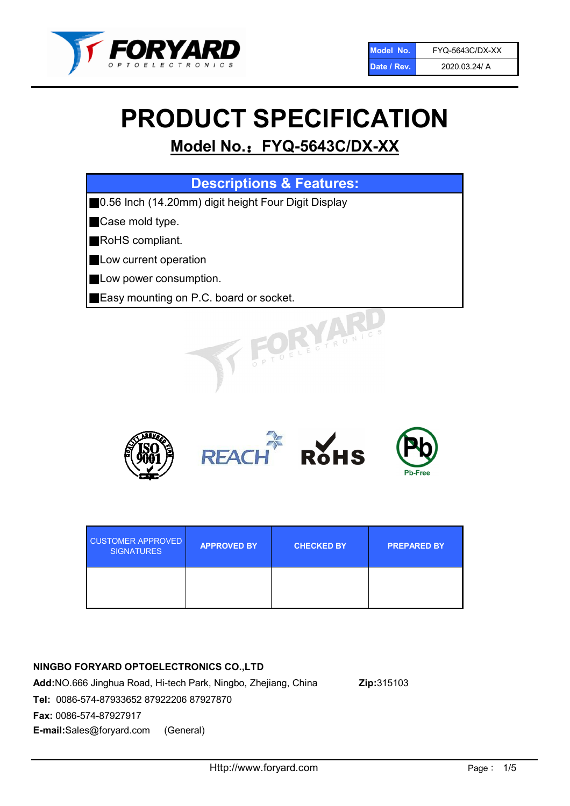

# PRODUCT SPECIFICATION

# Model No.: FYQ-5643C/DX-XX

| <b>Descriptions &amp; Features:</b>                  |  |  |
|------------------------------------------------------|--|--|
| ■0.56 Inch (14.20mm) digit height Four Digit Display |  |  |
| Case mold type.                                      |  |  |
| RoHS compliant.<br>Ш                                 |  |  |
| <b>Low current operation</b>                         |  |  |
| Low power consumption.                               |  |  |
| Easy mounting on P.C. board or socket.               |  |  |
| OFLECTRONIC                                          |  |  |



| <b>CUSTOMER APPROVED</b><br><b>SIGNATURES</b> | <b>APPROVED BY</b> | <b>CHECKED BY</b> | <b>PREPARED BY</b> |
|-----------------------------------------------|--------------------|-------------------|--------------------|
|                                               |                    |                   |                    |

### NINGBO FORYARD OPTOELECTRONICS CO.,LTD

Add:NO.666 Jinghua Road, Hi-tech Park, Ningbo, Zhejiang, China Zip:315103 Tel: 0086-574-87933652 87922206 87927870 Fax: 0086-574-87927917 E-mail:Sales@foryard.com (General)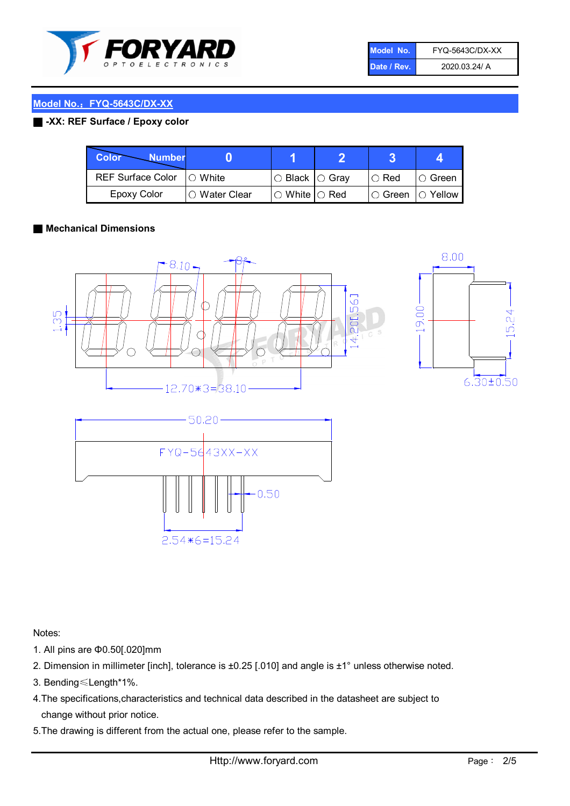

| Model No.   | FYQ-5643C/DX-XX |
|-------------|-----------------|
| Date / Rev. | 2020.03.24/ A   |

#### Model No.: FYQ-5643C/DX-XX

#### ■ -XX: REF Surface / Epoxy color

| Color<br><b>Number</b>      |               |                           |               |          |
|-----------------------------|---------------|---------------------------|---------------|----------|
| REF Surface Color   O White |               | I○ Black  ○ Grav          | $\circ$ Red   | IO Green |
| <b>Epoxy Color</b>          | ○ Water Clear | $\circ$ White $\circ$ Red | $\circ$ Green | Yellow   |

#### ■ Mechanical Dimensions





24<br>2 ΙŃ  $6.30 \pm 0.50$ 

Notes:

- 1. All pins are Φ0.50[.020]mm
- 2. Dimension in millimeter [inch], tolerance is ±0.25 [.010] and angle is ±1° unless otherwise noted.
- 3. Bending≤Length\*1%.
- 4.The specifications,characteristics and technical data described in the datasheet are subject to change without prior notice.
- 5.The drawing is different from the actual one, please refer to the sample.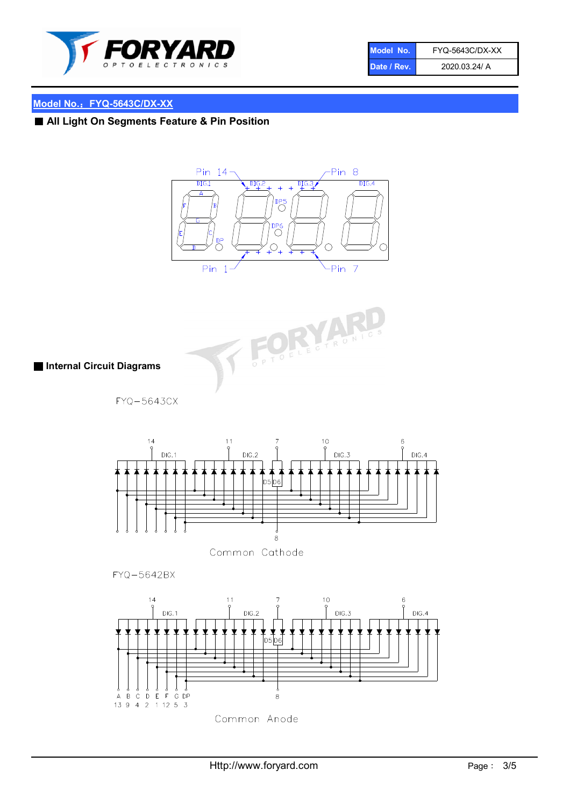

| Model No.   | <b>FYQ-5643C/DX-XX</b> |
|-------------|------------------------|
| Date / Rev. | 2020.03.24/ A          |

## Model No.: FYQ-5643C/DX-XX

# ■ All Light On Segments Feature & Pin Position





■ Internal Circuit Diagrams

FYQ-5643CX



Common Cathode

FYQ-5642BX

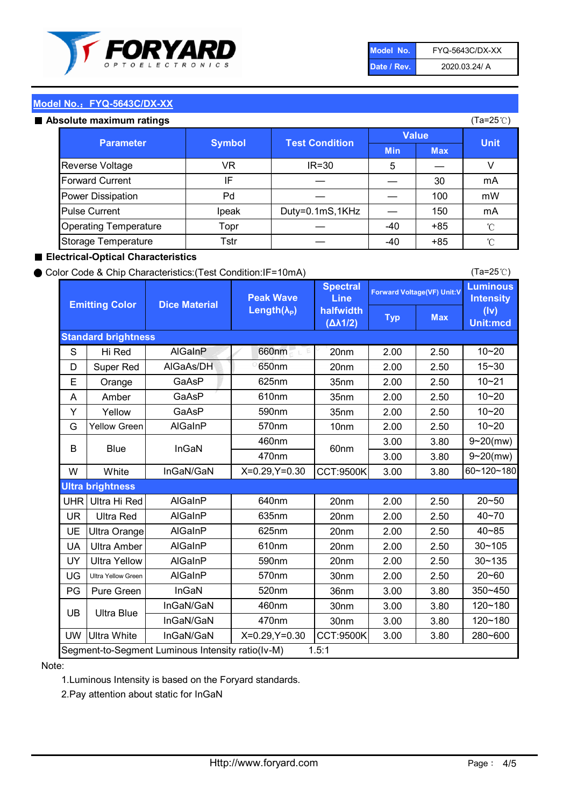

| Model No.   | FYQ-5643C/DX-XX |
|-------------|-----------------|
| Date / Rev. | 2020.03.24/ A   |

(Ta=25℃)

#### Model No.: FYQ-5643C/DX-XX

#### Absolute maximum

| solute maximum ratings       |               |                       |              |            | (Ta=25℃)    |
|------------------------------|---------------|-----------------------|--------------|------------|-------------|
| <b>Parameter</b>             | <b>Symbol</b> | <b>Test Condition</b> | <b>Value</b> |            |             |
|                              |               |                       | <b>Min</b>   | <b>Max</b> | <b>Unit</b> |
| Reverse Voltage              | VR            | $IR = 30$             | 5            |            |             |
| <b>Forward Current</b>       | IF            |                       |              | 30         | mA          |
| Power Dissipation            | Pd            |                       |              | 100        | mW          |
| <b>Pulse Current</b>         | Ipeak         | Duty=0.1mS,1KHz       |              | 150        | mA          |
| <b>Operating Temperature</b> | Topr          |                       | $-40$        | $+85$      | °C          |
| Storage Temperature          | Tstr          |                       | -40          | $+85$      | °C          |

#### ■ Electrical-Optical Characteristics

#### ● Color Code & Chip Characteristics:(Test Condition:IF=10mA)

Typ Max S | Hi $\textsf{Red}$  | AlGaInP | 660nm LE 20nm | 2.00 | 2.50 D | Super Red | AIGaAs/DH | 650nm | 20nm | 2.00 | 2.50 E | Orange | GaAsP | 625nm | 35nm | 2.00 | 2.50 A | Amber | GaAsP | 610nm | 35nm | 2.00 | 2.50 Y | Yellow | GaAsP | 590nm | 35nm | 2.00 | 2.50 G Yellow Green AIGaInP | 570nm | 10nm | 2.00 | 2.50 3.00 3.80 3.00 3.80 W | White | InGaN/GaN | X=0.29,Y=0.30 |CCT:9500K| 3.00 | 3.80 UHR Ultra Hi Red | AlGaInP | 640nm | 20nm | 2.00 | 2.50 UR | Ultra Red | AlGaInP | 635nm | 20nm | 2.00 | 2.50 UE Ultra Orange | AIGaInP | 625nm | 20nm | 2.00 | 2.50 UA Ultra Amber | AIGaInP | 610nm | 20nm | 2.00 | 2.50  $UV$  Ultra Yellow  $\vert$  AlGaInP  $\vert$  590nm  $\vert$  20nm  $\vert$  2.00  $\vert$  2.50  $\text{UG}$  Ultra Yellow Green | AIGaInP | 570nm | 30nm | 2.00 | 2.50 PG Pure Green | InGaN | 520nm | 36nm | 3.00 | 3.80 30nm 3.00 3.80 30nm 3.00 3.80 UW |Ultra White | InGaN/GaN | X=0.29,Y=0.30 |CCT:9500K| 3.00 | 3.80 40~85 60~120~180 40~70 Segment-to-Segment Luminous Intensity ratio(Iv-M) 1.5:1 610nm 9~20(mw) 350~450 470nm 120~180 120~180 Ultra Blue InGaN/GaN InGaN/GaN 9~20(mw) 20~50 280~600 570nm | 30nm | 2.00 | 2.50 | 20~60 470nm 590nm InGaN/GaN B Blue I InGaN 570nm | 10nm | 2.00 | 2.50 | 10~20 30~105 30~135 460nm 520nm Ultra brightness **AlGaInP** AlGaInP 60nm AlGaInP 640nm Peak Wave Length $(\lambda_{\rm P})$ UB 460nm 635nm AlGaInP AlGaInP AlGaInP InGaN/GaN AlGaInP 10~20 Luminous **Intensity** (Iv) Unit:mcd AlGainP 660nm GaAsP GaAsP AlGaAs/DH **Spectral** Line halfwidth (∆λ1/2) 10~20 Standard brightness Forward Voltage(VF) Unit:V 15~30 10~20 625nm GaAsP 590nm **Emitting Color Dice Material** 10~21 610nm

#### Note:

1.Luminous Intensity is based on the Foryard standards.

2.Pay attention about static for InGaN